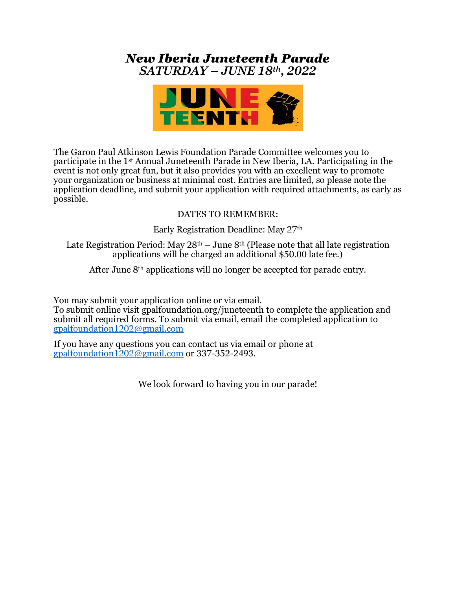## *New Iberia Juneteenth Parade SATURDAY – JUNE 18th, 2022*



The Garon Paul Atkinson Lewis Foundation Parade Committee welcomes you to participate in the 1st Annual Juneteenth Parade in New Iberia, LA. Participating in the event is not only great fun, but it also provides you with an excellent way to promote your organization or business at minimal cost. Entries are limited, so please note the application deadline, and submit your application with required attachments, as early as possible.

#### DATES TO REMEMBER:

Early Registration Deadline: May 27th

Late Registration Period: May  $28<sup>th</sup> - June 8<sup>th</sup>$  (Please note that all late registration applications will be charged an additional \$50.00 late fee.)

After June 8th applications will no longer be accepted for parade entry.

You may submit your application online or via email.

To submit online visit gpalfoundation.org/juneteenth to complete the application and submit all required forms. To submit via email, email the completed application to [gpalfoundation1202@gmail.com](mailto:gpalfoundation1202@gmail.com)

If you have any questions you can contact us via email or phone at [gpalfoundation1202@gmail.com](mailto:gpalfoundation1202@gmail.com) or 337-352-2493.

We look forward to having you in our parade!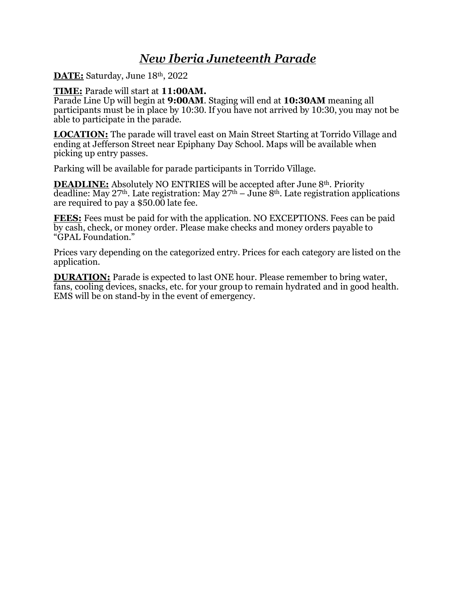# *New Iberia Juneteenth Parade*

**DATE:** Saturday, June 18th, 2022

#### **TIME:** Parade will start at **11:00AM.**

Parade Line Up will begin at **9:00AM**. Staging will end at **10:30AM** meaning all participants must be in place by 10:30. If you have not arrived by 10:30, you may not be able to participate in the parade.

**LOCATION:** The parade will travel east on Main Street Starting at Torrido Village and ending at Jefferson Street near Epiphany Day School. Maps will be available when picking up entry passes.

Parking will be available for parade participants in Torrido Village.

**DEADLINE:** Absolutely NO ENTRIES will be accepted after June 8<sup>th</sup>. Priority deadline: May  $27<sup>th</sup>$ . Late registration: May  $27<sup>th</sup>$  – June 8<sup>th</sup>. Late registration applications are required to pay a \$50.00 late fee.

**FEES:** Fees must be paid for with the application. NO EXCEPTIONS. Fees can be paid by cash, check, or money order. Please make checks and money orders payable to "GPAL Foundation."

Prices vary depending on the categorized entry. Prices for each category are listed on the application.

**DURATION:** Parade is expected to last ONE hour. Please remember to bring water, fans, cooling devices, snacks, etc. for your group to remain hydrated and in good health. EMS will be on stand-by in the event of emergency.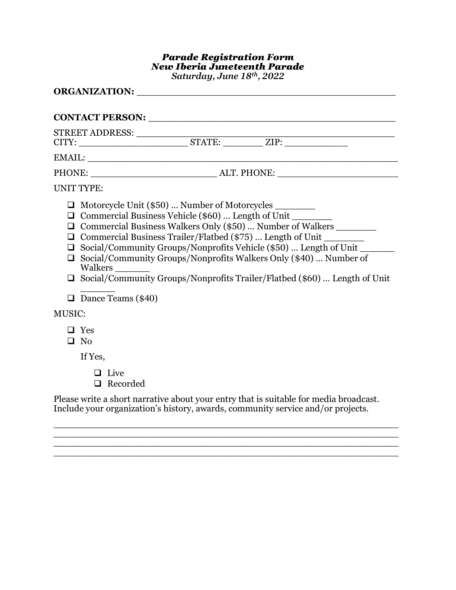#### *Parade Registration Form New Iberia Juneteenth Parade Saturday, June 18th, 2022*

| CONTACT PERSON: University of the CONTACT PERSON:                                                                                                                                                                                                                                                                                                                                                                                                                                                                                                                                 |  |
|-----------------------------------------------------------------------------------------------------------------------------------------------------------------------------------------------------------------------------------------------------------------------------------------------------------------------------------------------------------------------------------------------------------------------------------------------------------------------------------------------------------------------------------------------------------------------------------|--|
|                                                                                                                                                                                                                                                                                                                                                                                                                                                                                                                                                                                   |  |
|                                                                                                                                                                                                                                                                                                                                                                                                                                                                                                                                                                                   |  |
|                                                                                                                                                                                                                                                                                                                                                                                                                                                                                                                                                                                   |  |
| <b>UNIT TYPE:</b>                                                                                                                                                                                                                                                                                                                                                                                                                                                                                                                                                                 |  |
| □ Motorcycle Unit (\$50)  Number of Motorcycles ________<br>$\Box$ Commercial Business Vehicle (\$60)  Length of Unit $\Box$<br>Commercial Business Walkers Only (\$50)  Number of Walkers ________<br>$\Box$<br>Commercial Business Trailer/Flatbed (\$75)  Length of Unit<br>⊔<br>Social/Community Groups/Nonprofits Vehicle (\$50)  Length of Unit ______<br>$\Box$<br>Social/Community Groups/Nonprofits Walkers Only (\$40)  Number of<br>$\Box$<br>Walkers<br>$\Box$ Social/Community Groups/Nonprofits Trailer/Flatbed (\$60)  Length of Unit<br>$\Box$ Dance Teams (\$40) |  |
| <b>MUSIC:</b>                                                                                                                                                                                                                                                                                                                                                                                                                                                                                                                                                                     |  |
| $\Box$ Yes<br>$\Box$ No                                                                                                                                                                                                                                                                                                                                                                                                                                                                                                                                                           |  |
| If Yes,                                                                                                                                                                                                                                                                                                                                                                                                                                                                                                                                                                           |  |
| Live<br>$\Box$ Recorded                                                                                                                                                                                                                                                                                                                                                                                                                                                                                                                                                           |  |

Please write a short narrative about your entry that is suitable for media broadcast. Include your organization's history, awards, community service and/or projects.

\_\_\_\_\_\_\_\_\_\_\_\_\_\_\_\_\_\_\_\_\_\_\_\_\_\_\_\_\_\_\_\_\_\_\_\_\_\_\_\_\_\_\_\_\_\_\_\_\_\_\_\_\_\_\_\_\_\_\_\_  $\overline{\phantom{a}}$  , and the contribution of the contribution of the contribution of the contribution of the contribution of the contribution of the contribution of the contribution of the contribution of the contribution of the  $\overline{\phantom{a}}$  , and the contribution of the contribution of the contribution of the contribution of the contribution of the contribution of the contribution of the contribution of the contribution of the contribution of the  $\overline{\phantom{a}}$  ,  $\overline{\phantom{a}}$  ,  $\overline{\phantom{a}}$  ,  $\overline{\phantom{a}}$  ,  $\overline{\phantom{a}}$  ,  $\overline{\phantom{a}}$  ,  $\overline{\phantom{a}}$  ,  $\overline{\phantom{a}}$  ,  $\overline{\phantom{a}}$  ,  $\overline{\phantom{a}}$  ,  $\overline{\phantom{a}}$  ,  $\overline{\phantom{a}}$  ,  $\overline{\phantom{a}}$  ,  $\overline{\phantom{a}}$  ,  $\overline{\phantom{a}}$  ,  $\overline{\phantom{a}}$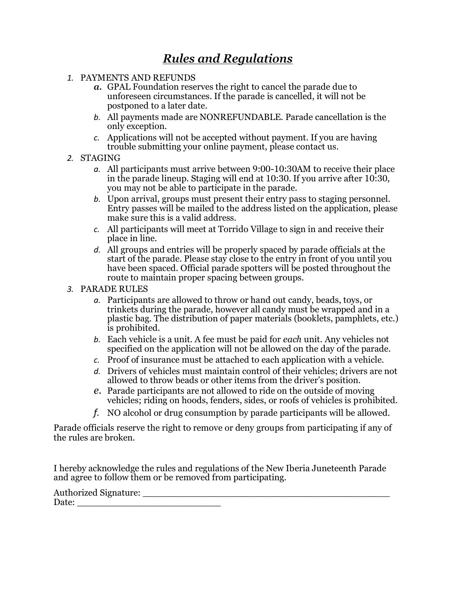# *Rules and Regulations*

- *1.* PAYMENTS AND REFUNDS
	- *a.* GPAL Foundation reserves the right to cancel the parade due to unforeseen circumstances. If the parade is cancelled, it will not be postponed to a later date.
	- *b.* All payments made are NONREFUNDABLE. Parade cancellation is the only exception.
	- *c.* Applications will not be accepted without payment. If you are having trouble submitting your online payment, please contact us.
- *2.* STAGING
	- *a.* All participants must arrive between 9:00-10:30AM to receive their place in the parade lineup. Staging will end at 10:30. If you arrive after 10:30, you may not be able to participate in the parade.
	- *b.* Upon arrival, groups must present their entry pass to staging personnel. Entry passes will be mailed to the address listed on the application, please make sure this is a valid address.
	- *c.* All participants will meet at Torrido Village to sign in and receive their place in line.
	- *d.* All groups and entries will be properly spaced by parade officials at the start of the parade. Please stay close to the entry in front of you until you have been spaced. Official parade spotters will be posted throughout the route to maintain proper spacing between groups.
- *3.* PARADE RULES
	- *a.* Participants are allowed to throw or hand out candy, beads, toys, or trinkets during the parade, however all candy must be wrapped and in a plastic bag. The distribution of paper materials (booklets, pamphlets, etc.) is prohibited.
	- *b.* Each vehicle is a unit. A fee must be paid for *each* unit. Any vehicles not specified on the application will not be allowed on the day of the parade.
	- *c.* Proof of insurance must be attached to each application with a vehicle.
	- *d.* Drivers of vehicles must maintain control of their vehicles; drivers are not allowed to throw beads or other items from the driver's position.
	- *e.* Parade participants are not allowed to ride on the outside of moving vehicles; riding on hoods, fenders, sides, or roofs of vehicles is prohibited.
	- *f.* NO alcohol or drug consumption by parade participants will be allowed.

Parade officials reserve the right to remove or deny groups from participating if any of the rules are broken.

I hereby acknowledge the rules and regulations of the New Iberia Juneteenth Parade and agree to follow them or be removed from participating.

| <b>Authorized Signature:</b> |  |  |
|------------------------------|--|--|
| Date:                        |  |  |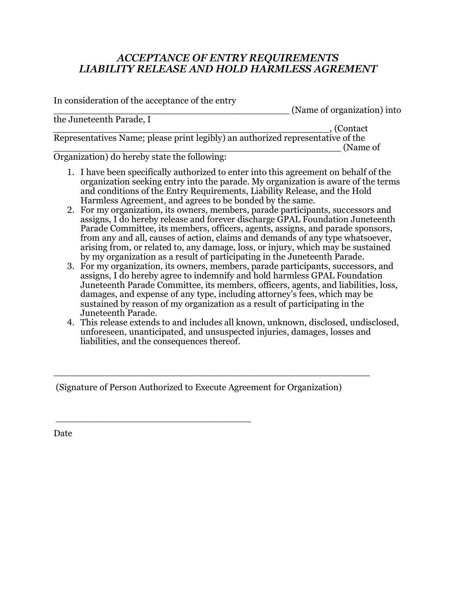### *ACCEPTANCE OF ENTRY REQUIREMENTS LIABILITY RELEASE AND HOLD HARMLESS AGREMENT*

In consideration of the acceptance of the entry \_\_\_\_\_\_\_\_\_\_\_\_\_\_\_\_\_\_\_\_\_\_\_\_\_\_\_\_\_\_\_\_\_\_\_\_\_\_\_\_\_ (Name of organization) into the Juneteenth Parade, I \_\_\_\_\_\_\_\_\_\_\_\_\_\_\_\_\_\_\_\_\_\_\_\_\_\_\_\_\_\_\_\_\_\_\_\_\_\_\_\_\_\_\_\_\_\_\_\_, (Contact Representatives Name; please print legibly) an authorized representative of the \_\_\_\_\_\_\_\_\_\_\_\_\_\_\_\_\_\_\_\_\_\_\_\_\_\_\_\_\_\_\_\_\_\_\_\_\_\_\_\_\_\_\_\_\_\_\_\_\_\_ (Name of

Organization) do hereby state the following:

- 1. I have been specifically authorized to enter into this agreement on behalf of the organization seeking entry into the parade. My organization is aware of the terms and conditions of the Entry Requirements, Liability Release, and the Hold Harmless Agreement, and agrees to be bonded by the same.
- 2. For my organization, its owners, members, parade participants, successors and assigns, I do hereby release and forever discharge GPAL Foundation Juneteenth Parade Committee, its members, officers, agents, assigns, and parade sponsors, from any and all, causes of action, claims and demands of any type whatsoever, arising from, or related to, any damage, loss, or injury, which may be sustained by my organization as a result of participating in the Juneteenth Parade.
- 3. For my organization, its owners, members, parade participants, successors, and assigns, I do hereby agree to indemnify and hold harmless GPAL Foundation Juneteenth Parade Committee, its members, officers, agents, and liabilities, loss, damages, and expense of any type, including attorney's fees, which may be sustained by reason of my organization as a result of participating in the Juneteenth Parade.
- 4. This release extends to and includes all known, unknown, disclosed, undisclosed, unforeseen, unanticipated, and unsuspected injuries, damages, losses and liabilities, and the consequences thereof.

(Signature of Person Authorized to Execute Agreement for Organization)

\_\_\_\_\_\_\_\_\_\_\_\_\_\_\_\_\_\_\_\_\_\_\_\_\_\_\_\_\_\_\_\_\_\_

\_\_\_\_\_\_\_\_\_\_\_\_\_\_\_\_\_\_\_\_\_\_\_\_\_\_\_\_\_\_\_\_\_\_\_\_\_\_\_\_\_\_\_\_\_\_\_\_\_\_\_\_\_\_\_

Date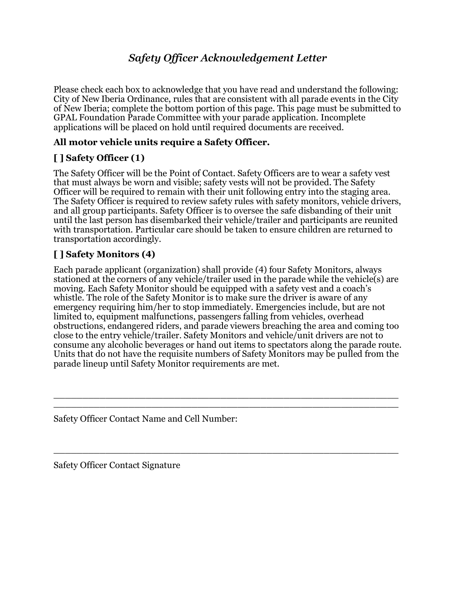# *Safety Officer Acknowledgement Letter*

Please check each box to acknowledge that you have read and understand the following: City of New Iberia Ordinance, rules that are consistent with all parade events in the City of New Iberia; complete the bottom portion of this page. This page must be submitted to GPAL Foundation Parade Committee with your parade application. Incomplete applications will be placed on hold until required documents are received.

### **All motor vehicle units require a Safety Officer.**

### **[ ] Safety Officer (1)**

The Safety Officer will be the Point of Contact. Safety Officers are to wear a safety vest that must always be worn and visible; safety vests will not be provided. The Safety Officer will be required to remain with their unit following entry into the staging area. The Safety Officer is required to review safety rules with safety monitors, vehicle drivers, and all group participants. Safety Officer is to oversee the safe disbanding of their unit until the last person has disembarked their vehicle/trailer and participants are reunited with transportation. Particular care should be taken to ensure children are returned to transportation accordingly.

### **[ ] Safety Monitors (4)**

Each parade applicant (organization) shall provide (4) four Safety Monitors, always stationed at the corners of any vehicle/trailer used in the parade while the vehicle(s) are moving. Each Safety Monitor should be equipped with a safety vest and a coach's whistle. The role of the Safety Monitor is to make sure the driver is aware of any emergency requiring him/her to stop immediately. Emergencies include, but are not limited to, equipment malfunctions, passengers falling from vehicles, overhead obstructions, endangered riders, and parade viewers breaching the area and coming too close to the entry vehicle/trailer. Safety Monitors and vehicle/unit drivers are not to consume any alcoholic beverages or hand out items to spectators along the parade route. Units that do not have the requisite numbers of Safety Monitors may be pulled from the parade lineup until Safety Monitor requirements are met.

\_\_\_\_\_\_\_\_\_\_\_\_\_\_\_\_\_\_\_\_\_\_\_\_\_\_\_\_\_\_\_\_\_\_\_\_\_\_\_\_\_\_\_\_\_\_\_\_\_\_\_\_\_\_\_\_\_\_\_\_ \_\_\_\_\_\_\_\_\_\_\_\_\_\_\_\_\_\_\_\_\_\_\_\_\_\_\_\_\_\_\_\_\_\_\_\_\_\_\_\_\_\_\_\_\_\_\_\_\_\_\_\_\_\_\_\_\_\_\_\_

\_\_\_\_\_\_\_\_\_\_\_\_\_\_\_\_\_\_\_\_\_\_\_\_\_\_\_\_\_\_\_\_\_\_\_\_\_\_\_\_\_\_\_\_\_\_\_\_\_\_\_\_\_\_\_\_\_\_\_\_

Safety Officer Contact Name and Cell Number:

Safety Officer Contact Signature